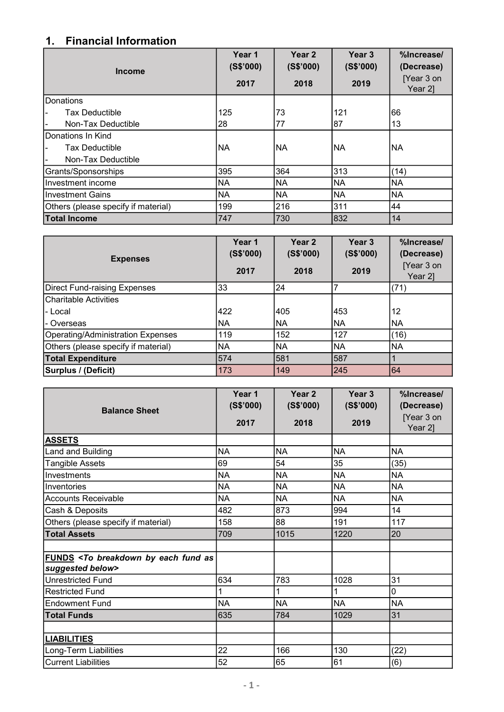## 1. Financial Information

| <b>Income</b>                       | Year 1<br>(S\$'000) | Year <sub>2</sub><br>(S\$'000) | Year <sub>3</sub><br>(S\$'000) | %Increase/<br>(Decrease) |
|-------------------------------------|---------------------|--------------------------------|--------------------------------|--------------------------|
|                                     | 2017                | 2018                           | 2019                           | [Year 3 on<br>Year 2]    |
| <b>IDonations</b>                   |                     |                                |                                |                          |
| <b>Tax Deductible</b>               | 125                 | 73                             | 121                            | 66                       |
| Non-Tax Deductible                  | 28                  | 77                             | 87                             | 13                       |
| Donations In Kind                   |                     |                                |                                |                          |
| Tax Deductible                      | INA                 | <b>NA</b>                      | <b>NA</b>                      | <b>NA</b>                |
| Non-Tax Deductible                  |                     |                                |                                |                          |
| Grants/Sponsorships                 | 395                 | 364                            | 313                            | (14)                     |
| IInvestment income                  | NA                  | <b>NA</b>                      | <b>NA</b>                      | NA                       |
| Investment Gains                    | <b>NA</b>           | <b>NA</b>                      | <b>NA</b>                      | <b>NA</b>                |
| Others (please specify if material) | 199                 | 216                            | 311                            | 44                       |
| <b>Total Income</b>                 | 747                 | 730                            | 832                            | 14                       |

| <b>Expenses</b>                     | Year 1<br>(S\$'000)<br>2017 | Year <sub>2</sub><br>(S\$'000)<br>2018 | Year <sub>3</sub><br>(S\$'000)<br>2019 | %Increase/<br>(Decrease)<br>[Year 3 on<br>Year 2] |
|-------------------------------------|-----------------------------|----------------------------------------|----------------------------------------|---------------------------------------------------|
| Direct Fund-raising Expenses        | 33                          | 24                                     |                                        | (71)                                              |
| <b>ICharitable Activities</b>       |                             |                                        |                                        |                                                   |
| l- Local                            | 422                         | 405                                    | 453                                    | 12                                                |
| l- Overseas                         | <b>NA</b>                   | <b>NA</b>                              | NA                                     | NA                                                |
| Operating/Administration Expenses   | 119                         | 152                                    | 127                                    | (16)                                              |
| Others (please specify if material) | NA                          | <b>NA</b>                              | <b>NA</b>                              | NA                                                |
| <b>Total Expenditure</b>            | 574                         | 581                                    | 587                                    |                                                   |
| Surplus / (Deficit)                 | 173                         | 149                                    | 245                                    | 164                                               |

| <b>Balance Sheet</b>                                                                                | Year 1<br>(S\$'000) | Year <sub>2</sub><br>(S\$'000) | Year <sub>3</sub><br>(S\$'000) | %Increase/<br>(Decrease) |
|-----------------------------------------------------------------------------------------------------|---------------------|--------------------------------|--------------------------------|--------------------------|
|                                                                                                     | 2017                | 2018                           | 2019                           | [Year 3 on<br>Year 2]    |
| <b>ASSETS</b>                                                                                       |                     |                                |                                |                          |
| Land and Building                                                                                   | <b>NA</b>           | <b>NA</b>                      | <b>NA</b>                      | <b>NA</b>                |
| Tangible Assets                                                                                     | 69                  | 54                             | 35                             | (35)                     |
| Investments                                                                                         | <b>NA</b>           | <b>NA</b>                      | <b>NA</b>                      | <b>NA</b>                |
| Inventories                                                                                         | <b>NA</b>           | <b>NA</b>                      | <b>NA</b>                      | <b>NA</b>                |
| <b>Accounts Receivable</b>                                                                          | <b>NA</b>           | <b>NA</b>                      | <b>NA</b>                      | <b>NA</b>                |
| Cash & Deposits                                                                                     | 482                 | 873                            | 994                            | 14                       |
| Others (please specify if material)                                                                 | 158                 | 88                             | 191                            | 117                      |
| <b>Total Assets</b>                                                                                 | 709                 | 1015                           | 1220                           | 20                       |
|                                                                                                     |                     |                                |                                |                          |
| FUNDS <to as<="" breakdown="" by="" each="" fund="" th=""><th></th><th></th><th></th><th></th></to> |                     |                                |                                |                          |
| suggested below>                                                                                    |                     |                                |                                |                          |
| <b>Unrestricted Fund</b>                                                                            | 634                 | 783                            | 1028                           | 31                       |
| <b>Restricted Fund</b>                                                                              | 1                   | 1                              | 1                              | 0                        |
| <b>Endowment Fund</b>                                                                               | <b>NA</b>           | <b>NA</b>                      | <b>NA</b>                      | <b>NA</b>                |
| <b>Total Funds</b>                                                                                  | 635                 | 784                            | 1029                           | 31                       |
|                                                                                                     |                     |                                |                                |                          |
| <b>LIABILITIES</b>                                                                                  |                     |                                |                                |                          |
| Long-Term Liabilities                                                                               | 22                  | 166                            | 130                            | (22)                     |
| <b>Current Liabilities</b>                                                                          | 52                  | 65                             | 61                             | (6)                      |